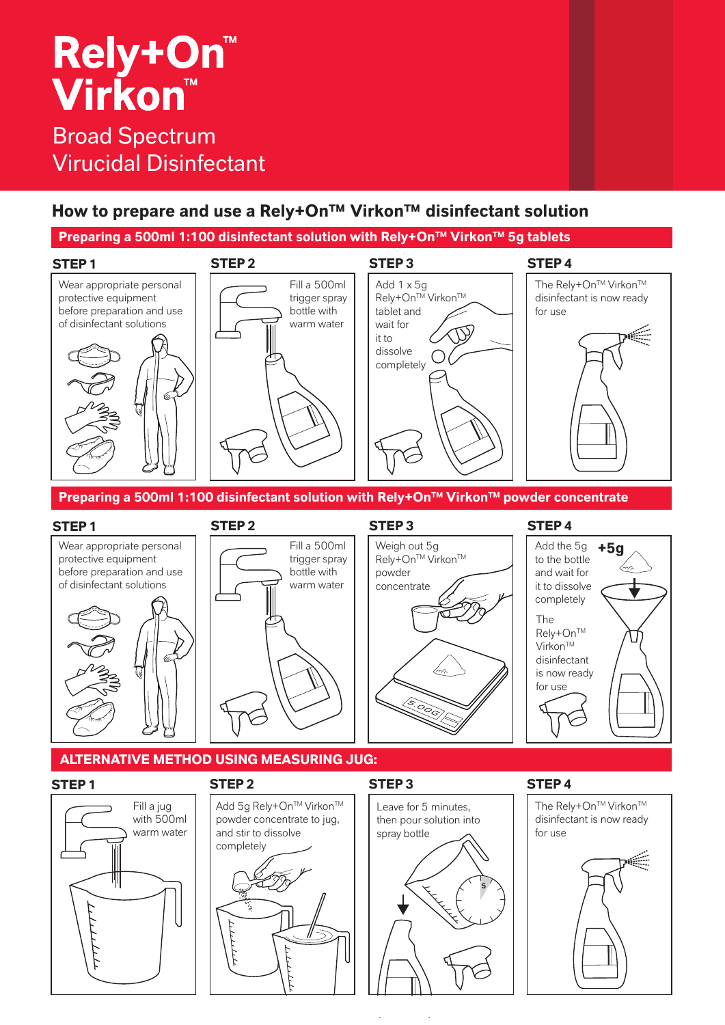# **Rely+On™ Virkon™**

## Broad Spectrum Virucidal Disinfectant

### **How to prepare and use a Rely+On™ Virkon™ disinfectant solution**

Preparing a 500ml 1:100 disinfectant solution with Rely+On<sup>™</sup> Virkon<sup>™</sup> 5g tablets



**Preparing a 500ml 1:100 disinfectant solution with Rely+On™ Virkon™ powder concentrate** 



### **STEP 4**





### **STEP 1 STEP 2 STEP 3 STEP 4**